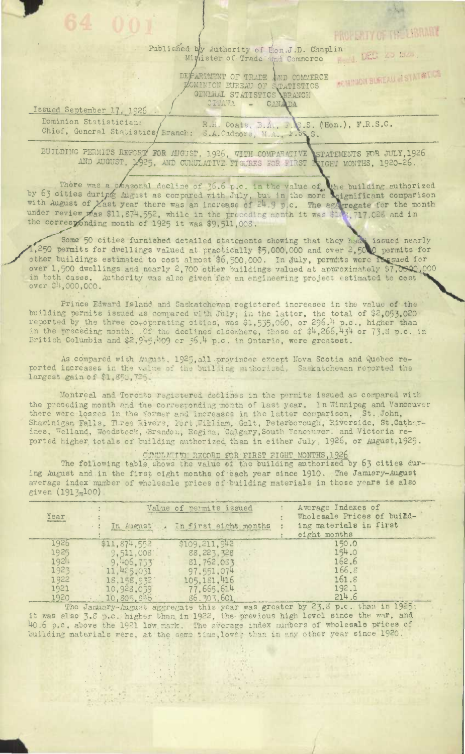## Published by Authority of Hon.J.D. Chaplin Revis DEG 20 mzs. Minister of Trade and Commerce

DEPARTMENT OF TRADE AND COMMERCE L'OMINION PUREAU OF STATISTICS

PROPERTY OF THE LIBRARY

**REMINDIT BUREAU & STATE LUS** 

Issued September 17, 1926 Dominion Statistician: R.H. Coats, B.A., F.C.S. (Hon.), F.R.S.C.<br>3.A.Cadmore, M.A., F.S.S.S. Chief, General Statistics Branch:

BUILDING PERMITS REPORT FOR AUGUST, 1926, WITH COMPARATIVE STATEMENTS FOR JULY, 1926

There was a seasonal decline of 36.6 p.c. in the value of the building authorized<br>by 63 cities during August as compared with July, but in the more eignificant comparison<br>with August of Yast year there was an increase of 2 the corresponding month of 1925 it was \$9,511,008.

Some 50 cities furnished detailed statements showing that they had issued nearly<br>1,250 permits for dwellings valued at practically \$5,000,000 and over 2,500 permits for<br>other buildings estimated to cost almost \$6,500,000. over 1,500 dwellings and nearly 2,700 other buildings valued at approximately \$7,0800,000 in both cases. Authority was also given for an engineering project estimated to cost<br>over \$4,000,000.

Prince Edward Island and Saskatchewan registered increases in the value of the building permits issued as compared with July; in the latter, the total of \$2,053,020 reported by the three co-operating sities, was \$1,535,060, or 296.<sup>14</sup> p.c., higher than in the preceding month. Of the declines elsewhe Eritish Columbia and \$2,945,409 cr 36.4 p.c. in Ontario, were greatest.

As compared with August, 1925, all provinces except Nova Scotia and Quebec reported increases in the value of the building suthorised. Saskatchewan reported the largest gain of \$1,850,725.

Montreal and Toronto registered declines in the permits issued as compared with the preceding month and the corresponding month of last year. In Winnipeg and Vancouver there were losses in the former and increases in the latter comparison. St. John, Shawinigan Falls, Hiree Rivers, Fort, Hirliam, Galt, Peterborough, Riverside, St.Cather-<br>ines, Welland, Woodstock, Brandon, Regina, Calgary, South Vancouver, and Victoria reported higher totals of building authorized than in either July, 1926, or August, 1925.

CUNCLATIVE RECORD FOR FIRST FIGHT MONTHS, 1926

The following table shows the value of the building authorized by 63 cities during August and in the first eight months of each year since 1910. The January-August average index number of wholesale prices of building materials in those years is also given (1913-100)

| Year |              | Value of permits issued<br>In August . In first eight months | Average Indexes of<br>Wholesale Prices of build-<br>ing materials in first<br>eight months |
|------|--------------|--------------------------------------------------------------|--------------------------------------------------------------------------------------------|
| 1926 | \$11,874,552 | \$109,211,942                                                | 150.0                                                                                      |
| 1925 | 9,511,008    | 88.223,328                                                   | 154.0                                                                                      |
| 1924 | 9,406,733    | 81.752,033                                                   | 162.6                                                                                      |
| 1923 | 11,425,031   | 97, 551, 074                                                 | 166.8                                                                                      |
| 1922 | 18, 158, 932 | 105, 181, 416                                                | 161.8                                                                                      |
| 1921 | 10,928.039   | 77,665,614                                                   | 192.1                                                                                      |
| 1920 | 10,805,846   | 86. 303, 601                                                 | 214.6                                                                                      |

The January-August aggregate this year was greater by 23.8 p.c. than in 1925; it was also 3.8 p.c. higher than in 1922, the previous high level since the war, and 40.6 p.c. above the 1921 low mark. The aferage index numbers of wholesale prices of building materials were, at the same time, lower than in any other year since 1920.